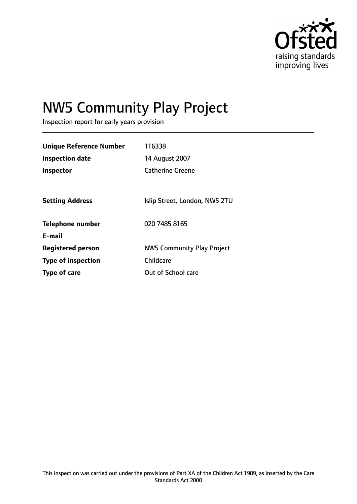

# NW5 Community Play Project

Inspection report for early years provision

| <b>Unique Reference Number</b> | 116338                            |
|--------------------------------|-----------------------------------|
| <b>Inspection date</b>         | 14 August 2007                    |
| <b>Inspector</b>               | <b>Catherine Greene</b>           |
|                                |                                   |
| <b>Setting Address</b>         | Islip Street, London, NW5 2TU     |
| <b>Telephone number</b>        | 020 7485 8165                     |
| E-mail                         |                                   |
| <b>Registered person</b>       | <b>NW5 Community Play Project</b> |
| <b>Type of inspection</b>      | Childcare                         |
| Type of care                   | Out of School care                |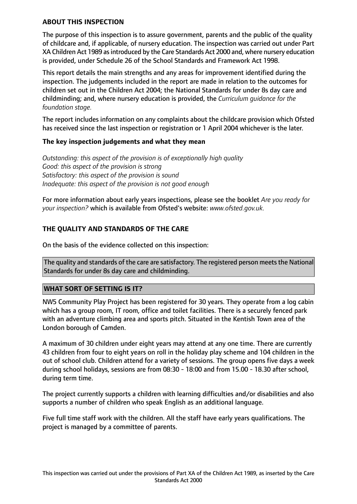#### **ABOUT THIS INSPECTION**

The purpose of this inspection is to assure government, parents and the public of the quality of childcare and, if applicable, of nursery education. The inspection was carried out under Part XA Children Act 1989 as introduced by the Care Standards Act 2000 and, where nursery education is provided, under Schedule 26 of the School Standards and Framework Act 1998.

This report details the main strengths and any areas for improvement identified during the inspection. The judgements included in the report are made in relation to the outcomes for children set out in the Children Act 2004; the National Standards for under 8s day care and childminding; and, where nursery education is provided, the *Curriculum guidance for the foundation stage.*

The report includes information on any complaints about the childcare provision which Ofsted has received since the last inspection or registration or 1 April 2004 whichever is the later.

#### **The key inspection judgements and what they mean**

*Outstanding: this aspect of the provision is of exceptionally high quality Good: this aspect of the provision is strong Satisfactory: this aspect of the provision is sound Inadequate: this aspect of the provision is not good enough*

For more information about early years inspections, please see the booklet *Are you ready for your inspection?* which is available from Ofsted's website: *www.ofsted.gov.uk.*

## **THE QUALITY AND STANDARDS OF THE CARE**

On the basis of the evidence collected on this inspection:

The quality and standards of the care are satisfactory. The registered person meets the National Standards for under 8s day care and childminding.

#### **WHAT SORT OF SETTING IS IT?**

NW5 Community Play Project has been registered for 30 years. They operate from a log cabin which has a group room, IT room, office and toilet facilities. There is a securely fenced park with an adventure climbing area and sports pitch. Situated in the Kentish Town area of the London borough of Camden.

A maximum of 30 children under eight years may attend at any one time. There are currently 43 children from four to eight years on roll in the holiday play scheme and 104 children in the out of school club. Children attend for a variety of sessions. The group opens five days a week during school holidays, sessions are from 08:30 - 18:00 and from 15.00 - 18.30 after school, during term time.

The project currently supports a children with learning difficulties and/or disabilities and also supports a number of children who speak English as an additional language.

Five full time staff work with the children. All the staff have early years qualifications. The project is managed by a committee of parents.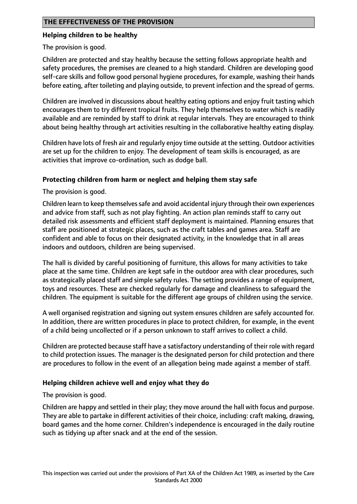## **THE EFFECTIVENESS OF THE PROVISION**

#### **Helping children to be healthy**

The provision is good.

Children are protected and stay healthy because the setting follows appropriate health and safety procedures, the premises are cleaned to a high standard. Children are developing good self-care skills and follow good personal hygiene procedures, for example, washing their hands before eating, after toileting and playing outside, to prevent infection and the spread of germs.

Children are involved in discussions about healthy eating options and enjoy fruit tasting which encourages them to try different tropical fruits. They help themselves to water which is readily available and are reminded by staff to drink at regular intervals. They are encouraged to think about being healthy through art activities resulting in the collaborative healthy eating display.

Children have lots of fresh air and regularly enjoy time outside at the setting. Outdoor activities are set up for the children to enjoy. The development of team skills is encouraged, as are activities that improve co-ordination, such as dodge ball.

#### **Protecting children from harm or neglect and helping them stay safe**

The provision is good.

Children learn to keep themselves safe and avoid accidental injury through their own experiences and advice from staff, such as not play fighting. An action plan reminds staff to carry out detailed risk assessments and efficient staff deployment is maintained. Planning ensures that staff are positioned at strategic places, such as the craft tables and games area. Staff are confident and able to focus on their designated activity, in the knowledge that in all areas indoors and outdoors, children are being supervised.

The hall is divided by careful positioning of furniture, this allows for many activities to take place at the same time. Children are kept safe in the outdoor area with clear procedures, such as strategically placed staff and simple safety rules. The setting provides a range of equipment, toys and resources. These are checked regularly for damage and cleanliness to safeguard the children. The equipment is suitable for the different age groups of children using the service.

A well organised registration and signing out system ensures children are safely accounted for. In addition, there are written procedures in place to protect children, for example, in the event of a child being uncollected or if a person unknown to staff arrives to collect a child.

Children are protected because staff have a satisfactory understanding of their role with regard to child protection issues. The manager is the designated person for child protection and there are procedures to follow in the event of an allegation being made against a member of staff.

#### **Helping children achieve well and enjoy what they do**

The provision is good.

Children are happy and settled in their play; they move around the hall with focus and purpose. They are able to partake in different activities of their choice, including: craft making, drawing, board games and the home corner. Children's independence is encouraged in the daily routine such as tidying up after snack and at the end of the session.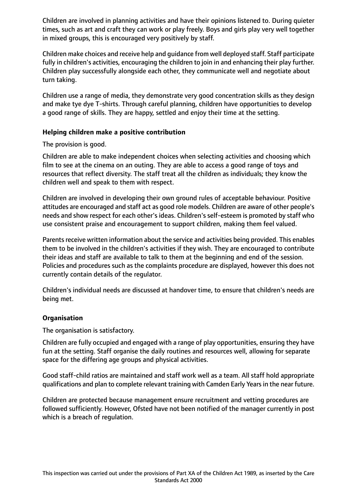Children are involved in planning activities and have their opinions listened to. During quieter times, such as art and craft they can work or play freely. Boys and girls play very well together in mixed groups, this is encouraged very positively by staff.

Children make choices and receive help and guidance from well deployed staff. Staff participate fully in children's activities, encouraging the children to join in and enhancing their play further. Children play successfully alongside each other, they communicate well and negotiate about turn taking.

Children use a range of media, they demonstrate very good concentration skills as they design and make tye dye T-shirts. Through careful planning, children have opportunities to develop a good range of skills. They are happy, settled and enjoy their time at the setting.

#### **Helping children make a positive contribution**

The provision is good.

Children are able to make independent choices when selecting activities and choosing which film to see at the cinema on an outing. They are able to access a good range of toys and resources that reflect diversity. The staff treat all the children as individuals; they know the children well and speak to them with respect.

Children are involved in developing their own ground rules of acceptable behaviour. Positive attitudes are encouraged and staff act as good role models. Children are aware of other people's needs and show respect for each other's ideas. Children's self-esteem is promoted by staff who use consistent praise and encouragement to support children, making them feel valued.

Parents receive written information about the service and activities being provided. This enables them to be involved in the children's activities if they wish. They are encouraged to contribute their ideas and staff are available to talk to them at the beginning and end of the session. Policies and procedures such as the complaints procedure are displayed, however this does not currently contain details of the regulator.

Children's individual needs are discussed at handover time, to ensure that children's needs are being met.

#### **Organisation**

The organisation is satisfactory.

Children are fully occupied and engaged with a range of play opportunities, ensuring they have fun at the setting. Staff organise the daily routines and resources well, allowing for separate space for the differing age groups and physical activities.

Good staff-child ratios are maintained and staff work well as a team. All staff hold appropriate qualifications and plan to complete relevant training with Camden Early Yearsin the near future.

Children are protected because management ensure recruitment and vetting procedures are followed sufficiently. However, Ofsted have not been notified of the manager currently in post which is a breach of regulation.